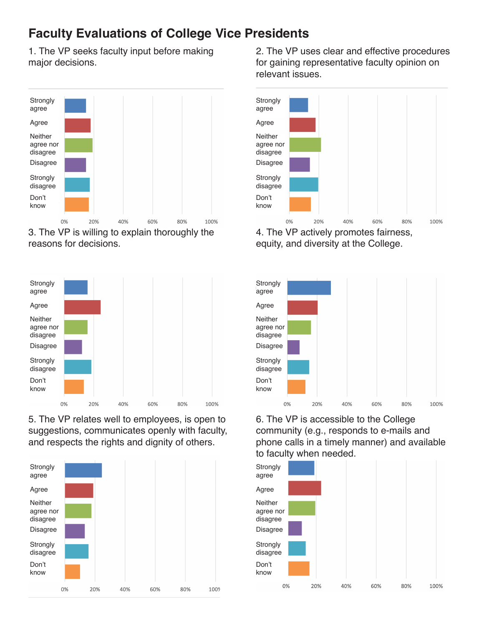## **Faculty Evaluations of College Vice Presidents**

1. The VP seeks faculty input before making major decisions.



3. The VP is willing to explain thoroughly the reasons for decisions.



5. The VP relates well to employees, is open to suggestions, communicates openly with faculty, and respects the rights and dignity of others.



2. The VP uses clear and effective procedures for gaining representative faculty opinion on relevant issues.



equity, and diversity at the College.



6. The VP is accessible to the College community (e.g., responds to e-mails and phone calls in a timely manner) and available to faculty when needed.